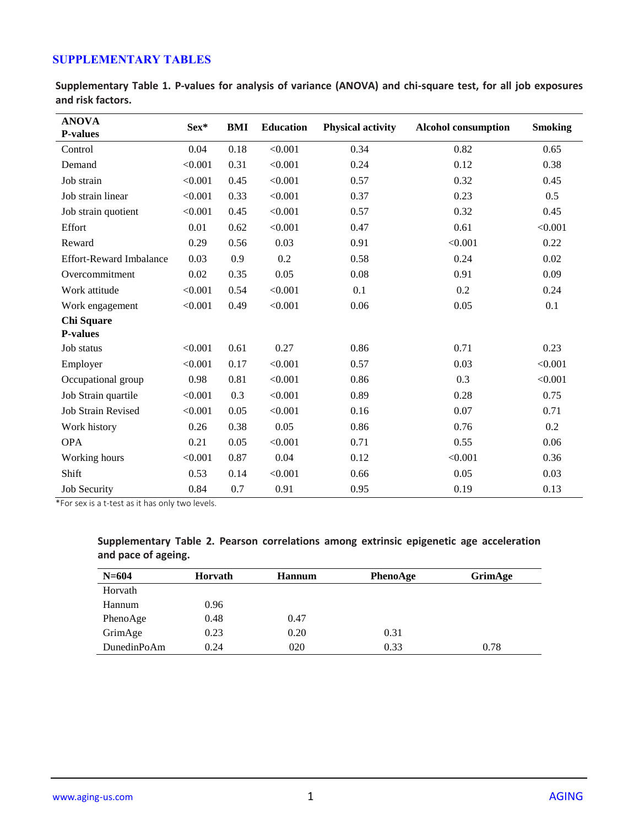## **SUPPLEMENTARY TABLES**

**Supplementary Table 1. P-values for analysis of variance (ANOVA) and chi-square test, for all job exposures and risk factors.** 

| <b>ANOVA</b>                   | Sex*    | <b>BMI</b> | <b>Education</b> | <b>Physical activity</b> | <b>Alcohol consumption</b> | <b>Smoking</b> |
|--------------------------------|---------|------------|------------------|--------------------------|----------------------------|----------------|
| <b>P-values</b>                |         |            |                  |                          |                            |                |
| Control                        | 0.04    | 0.18       | < 0.001          | 0.34                     | 0.82                       | 0.65           |
| Demand                         | < 0.001 | 0.31       | < 0.001          | 0.24                     | 0.12                       | 0.38           |
| Job strain                     | < 0.001 | 0.45       | < 0.001          | 0.57                     | 0.32                       | 0.45           |
| Job strain linear              | < 0.001 | 0.33       | < 0.001          | 0.37                     | 0.23                       | 0.5            |
| Job strain quotient            | < 0.001 | 0.45       | < 0.001          | 0.57                     | 0.32                       | 0.45           |
| Effort                         | 0.01    | 0.62       | < 0.001          | 0.47                     | 0.61                       | < 0.001        |
| Reward                         | 0.29    | 0.56       | 0.03             | 0.91                     | < 0.001                    | 0.22           |
| <b>Effort-Reward Imbalance</b> | 0.03    | 0.9        | 0.2              | 0.58                     | 0.24                       | 0.02           |
| Overcommitment                 | 0.02    | 0.35       | 0.05             | 0.08                     | 0.91                       | 0.09           |
| Work attitude                  | < 0.001 | 0.54       | < 0.001          | 0.1                      | 0.2                        | 0.24           |
| Work engagement                | < 0.001 | 0.49       | < 0.001          | 0.06                     | 0.05                       | 0.1            |
| Chi Square                     |         |            |                  |                          |                            |                |
| <b>P-values</b>                |         |            |                  |                          |                            |                |
| Job status                     | < 0.001 | 0.61       | 0.27             | 0.86                     | 0.71                       | 0.23           |
| Employer                       | < 0.001 | 0.17       | < 0.001          | 0.57                     | 0.03                       | < 0.001        |
| Occupational group             | 0.98    | 0.81       | < 0.001          | 0.86                     | 0.3                        | < 0.001        |
| Job Strain quartile            | < 0.001 | 0.3        | < 0.001          | 0.89                     | 0.28                       | 0.75           |
| <b>Job Strain Revised</b>      | < 0.001 | 0.05       | < 0.001          | 0.16                     | 0.07                       | 0.71           |
| Work history                   | 0.26    | 0.38       | 0.05             | 0.86                     | 0.76                       | 0.2            |
| <b>OPA</b>                     | 0.21    | 0.05       | < 0.001          | 0.71                     | 0.55                       | 0.06           |
| Working hours                  | < 0.001 | 0.87       | 0.04             | 0.12                     | < 0.001                    | 0.36           |
| Shift                          | 0.53    | 0.14       | < 0.001          | 0.66                     | 0.05                       | 0.03           |
| <b>Job Security</b>            | 0.84    | 0.7        | 0.91             | 0.95                     | 0.19                       | 0.13           |

\*For sex is a t-test as it has only two levels.

| $N = 604$   | Horvath | <b>Hannum</b> | PhenoAge | GrimAge |
|-------------|---------|---------------|----------|---------|
| Horvath     |         |               |          |         |
| Hannum      | 0.96    |               |          |         |
| PhenoAge    | 0.48    | 0.47          |          |         |
| GrimAge     | 0.23    | 0.20          | 0.31     |         |
| DunedinPoAm | 0.24    | 020           | 0.33     | 0.78    |

**Supplementary Table 2. Pearson correlations among extrinsic epigenetic age acceleration and pace of ageing.**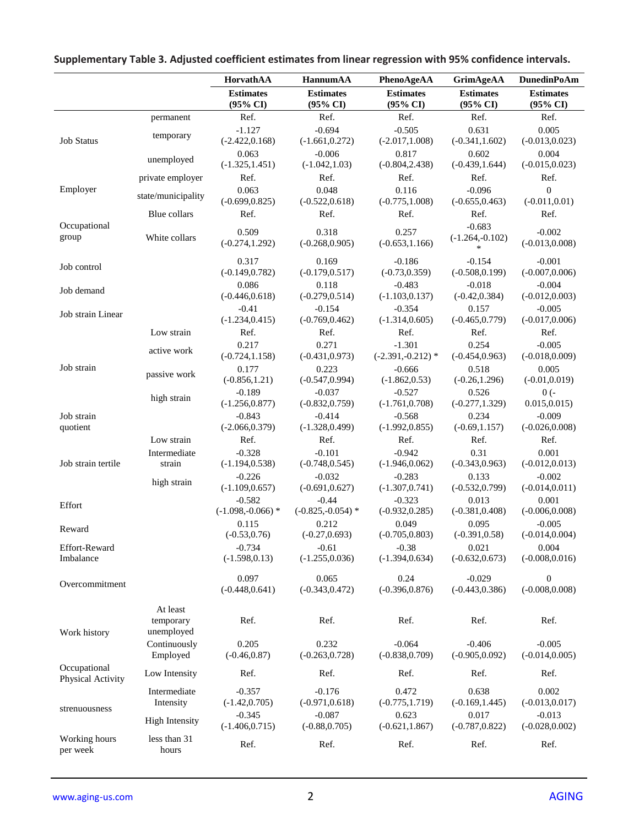|                                   |                            | HorvathAA                               | HannumAA                       | PhenoAgeAA                              | <b>GrimAgeAA</b>                        | <b>DunedinPoAm</b>                 |
|-----------------------------------|----------------------------|-----------------------------------------|--------------------------------|-----------------------------------------|-----------------------------------------|------------------------------------|
|                                   |                            | <b>Estimates</b><br>$(95\% \text{ CI})$ | <b>Estimates</b><br>(95% CI)   | <b>Estimates</b><br>$(95\% \text{ CI})$ | <b>Estimates</b><br>$(95\% \text{ CI})$ | <b>Estimates</b><br>(95% CI)       |
|                                   | permanent                  | Ref.                                    | Ref.                           | Ref.                                    | Ref.                                    | Ref.                               |
| <b>Job Status</b>                 | temporary                  | $-1.127$<br>$(-2.422, 0.168)$           | $-0.694$<br>$(-1.661, 0.272)$  | $-0.505$<br>$(-2.017, 1.008)$           | 0.631<br>$(-0.341, 1.602)$              | 0.005<br>$(-0.013, 0.023)$         |
|                                   | unemployed                 | 0.063<br>$(-1.325, 1.451)$              | $-0.006$<br>$(-1.042, 1.03)$   | 0.817<br>$(-0.804, 2.438)$              | 0.602<br>$(-0.439, 1.644)$              | 0.004<br>$(-0.015, 0.023)$         |
|                                   | private employer           | Ref.                                    | Ref.                           | Ref.                                    | Ref.                                    | Ref.                               |
| Employer                          | state/municipality         | 0.063<br>$(-0.699, 0.825)$              | 0.048<br>$(-0.522, 0.618)$     | 0.116<br>$(-0.775, 1.008)$              | $-0.096$<br>$(-0.655, 0.463)$           | $\overline{0}$<br>$(-0.011, 0.01)$ |
|                                   | Blue collars               | Ref.                                    | Ref.                           | Ref.                                    | Ref.                                    | Ref.                               |
| Occupational<br>group             | White collars              | 0.509<br>$(-0.274, 1.292)$              | 0.318<br>$(-0.268, 0.905)$     | 0.257<br>$(-0.653, 1.166)$              | $-0.683$<br>$(-1.264,-0.102)$<br>*      | $-0.002$<br>$(-0.013, 0.008)$      |
| Job control                       |                            | 0.317<br>$(-0.149, 0.782)$              | 0.169<br>$(-0.179, 0.517)$     | $-0.186$<br>$(-0.73, 0.359)$            | $-0.154$<br>$(-0.508, 0.199)$           | $-0.001$<br>$(-0.007, 0.006)$      |
| Job demand                        |                            | 0.086<br>$(-0.446, 0.618)$              | 0.118<br>$(-0.279, 0.514)$     | $-0.483$<br>$(-1.103, 0.137)$           | $-0.018$<br>$(-0.42, 0.384)$            | $-0.004$<br>$(-0.012, 0.003)$      |
| Job strain Linear                 |                            | $-0.41$<br>$(-1.234, 0.415)$            | $-0.154$<br>$(-0.769, 0.462)$  | $-0.354$<br>$(-1.314, 0.605)$           | 0.157<br>$(-0.465, 0.779)$              | $-0.005$<br>$(-0.017, 0.006)$      |
|                                   | Low strain                 | Ref.                                    | Ref.                           | Ref.                                    | Ref.                                    | Ref.                               |
|                                   | active work                | 0.217<br>$(-0.724, 1.158)$              | 0.271<br>$(-0.431, 0.973)$     | $-1.301$<br>$(-2.391,-0.212)$ *         | 0.254<br>$(-0.454, 0.963)$              | $-0.005$<br>$(-0.018, 0.009)$      |
| Job strain                        | passive work               | 0.177<br>$(-0.856, 1.21)$               | 0.223<br>$(-0.547, 0.994)$     | $-0.666$<br>$(-1.862, 0.53)$            | 0.518<br>$(-0.26, 1.296)$               | 0.005<br>$(-0.01, 0.019)$          |
|                                   | high strain                | $-0.189$<br>$(-1.256, 0.877)$           | $-0.037$<br>$(-0.832, 0.759)$  | $-0.527$<br>$(-1.761, 0.708)$           | 0.526<br>$(-0.277, 1.329)$              | $0(-$<br>0.015, 0.015)             |
| Job strain<br>quotient            |                            | $-0.843$<br>$(-2.066, 0.379)$           | $-0.414$<br>$(-1.328, 0.499)$  | $-0.568$<br>$(-1.992, 0.855)$           | 0.234<br>$(-0.69, 1.157)$               | $-0.009$<br>$(-0.026, 0.008)$      |
|                                   | Low strain                 | Ref.                                    | Ref.                           | Ref.                                    | Ref.                                    | Ref.                               |
| Job strain tertile                | Intermediate<br>strain     | $-0.328$<br>$(-1.194, 0.538)$           | $-0.101$<br>$(-0.748, 0.545)$  | $-0.942$<br>$(-1.946, 0.062)$           | 0.31<br>$(-0.343, 0.963)$               | 0.001<br>$(-0.012, 0.013)$         |
|                                   | high strain                | $-0.226$<br>$(-1.109, 0.657)$           | $-0.032$<br>$(-0.691, 0.627)$  | $-0.283$<br>$(-1.307, 0.741)$           | 0.133<br>$(-0.532, 0.799)$              | $-0.002$<br>$(-0.014, 0.011)$      |
| Effort                            |                            | $-0.582$<br>$(-1.098,-0.066)$ *         | $-0.44$<br>$(-0.825,-0.054)$ * | $-0.323$<br>$(-0.932, 0.285)$           | 0.013<br>$(-0.381, 0.408)$              | 0.001<br>$(-0.006, 0.008)$         |
| Reward                            |                            | 0.115<br>$(-0.53, 0.76)$                | 0.212<br>$(-0.27, 0.693)$      | 0.049<br>$(-0.705, 0.803)$              | 0.095<br>$(-0.391, 0.58)$               | $-0.005$<br>$(-0.014, 0.004)$      |
| Effort-Reward<br>Imbalance        |                            | $-0.734$<br>$(-1.598, 0.13)$            | $-0.61$<br>$(-1.255, 0.036)$   | $-0.38$<br>$(-1.394, 0.634)$            | 0.021<br>$(-0.632, 0.673)$              | 0.004<br>$(-0.008, 0.016)$         |
| Overcommitment                    |                            | 0.097<br>$(-0.448, 0.641)$              | 0.065<br>$(-0.343, 0.472)$     | 0.24<br>$(-0.396, 0.876)$               | $-0.029$<br>$(-0.443, 0.386)$           | 0<br>$(-0.008, 0.008)$             |
|                                   | At least<br>temporary      | Ref.                                    | Ref.                           | Ref.                                    | Ref.                                    | Ref.                               |
| Work history                      | unemployed<br>Continuously | 0.205                                   | 0.232                          | $-0.064$                                | $-0.406$                                | $-0.005$                           |
|                                   | Employed                   | $(-0.46, 0.87)$                         | $(-0.263, 0.728)$              | $(-0.838, 0.709)$                       | $(-0.905, 0.092)$                       | $(-0.014, 0.005)$                  |
| Occupational<br>Physical Activity | Low Intensity              | Ref.                                    | Ref.                           | Ref.                                    | Ref.                                    | Ref.                               |
| strenuousness                     | Intermediate<br>Intensity  | $-0.357$<br>$(-1.42, 0.705)$            | $-0.176$<br>$(-0.971, 0.618)$  | 0.472<br>$(-0.775, 1.719)$              | 0.638<br>$(-0.169, 1.445)$              | 0.002<br>$(-0.013, 0.017)$         |
|                                   | <b>High Intensity</b>      | $-0.345$<br>$(-1.406, 0.715)$           | $-0.087$<br>$(-0.88, 0.705)$   | 0.623<br>$(-0.621, 1.867)$              | 0.017<br>$(-0.787, 0.822)$              | $-0.013$<br>$(-0.028, 0.002)$      |
| Working hours<br>per week         | less than 31<br>hours      | Ref.                                    | Ref.                           | Ref.                                    | Ref.                                    | Ref.                               |

# **Supplementary Table 3. Adjusted coefficient estimates from linear regression with 95% confidence intervals.**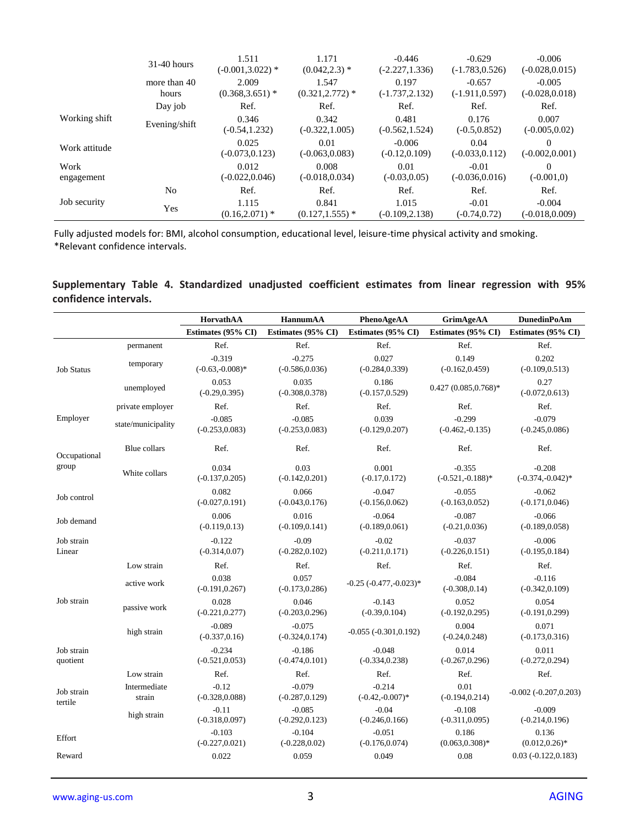|               | $31-40$ hours         | 1.511<br>$(-0.001, 3.022)$ * | 1.171<br>$(0.042, 2.3)$ *   | $-0.446$<br>$(-2.227, 1.336)$ | $-0.629$<br>$(-1.783, 0.526)$ | $-0.006$<br>$(-0.028, 0.015)$ |
|---------------|-----------------------|------------------------------|-----------------------------|-------------------------------|-------------------------------|-------------------------------|
|               | more than 40<br>hours | 2.009<br>$(0.368, 3.651)$ *  | 1.547<br>$(0.321, 2.772)$ * | 0.197<br>$(-1.737, 2.132)$    | $-0.657$<br>$(-1.911, 0.597)$ | $-0.005$<br>$(-0.028, 0.018)$ |
|               | Day job               | Ref.                         | Ref.                        | Ref.                          | Ref.                          | Ref.                          |
| Working shift | Evening/shift         | 0.346<br>$(-0.54, 1.232)$    | 0.342<br>$(-0.322, 1.005)$  | 0.481<br>$(-0.562, 1.524)$    | 0.176<br>$(-0.5, 0.852)$      | 0.007<br>$(-0.005, 0.02)$     |
| Work attitude |                       | 0.025<br>$(-0.073, 0.123)$   | 0.01<br>$(-0.063, 0.083)$   | $-0.006$<br>$(-0.12, 0.109)$  | 0.04<br>$(-0.033, 0.112)$     | $\Omega$<br>$(-0.002, 0.001)$ |
| Work          |                       | 0.012                        | 0.008                       | 0.01                          | $-0.01$                       | $\Omega$                      |
| engagement    |                       | $(-0.022, 0.046)$            | $(-0.018, 0.034)$           | $(-0.03, 0.05)$               | $(-0.036, 0.016)$             | $(-0.001,0)$                  |
|               | No                    | Ref.                         | Ref.                        | Ref.                          | Ref.                          | Ref.                          |
| Job security  | Yes                   | 1.115<br>$(0.16, 2.071)$ *   | 0.841<br>$(0.127, 1.555)$ * | 1.015<br>$(-0.109, 2.138)$    | $-0.01$<br>$(-0.74, 0.72)$    | $-0.004$<br>$(-0.018, 0.009)$ |

#### **Supplementary Table 4. Standardized unadjusted coefficient estimates from linear regression with 95% confidence intervals.**

|                        |                        | HorvathAA                      | <b>HannumAA</b>               | PhenoAgeAA                     | GrimAgeAA                       | <b>DunedinPoAm</b>              |
|------------------------|------------------------|--------------------------------|-------------------------------|--------------------------------|---------------------------------|---------------------------------|
|                        |                        | Estimates (95% CI)             | Estimates (95% CI)            | Estimates (95% CI)             | Estimates (95% CI)              | Estimates (95% CI)              |
|                        | permanent              | Ref.                           | Ref.                          | Ref.                           | Ref.                            | Ref.                            |
| <b>Job Status</b>      | temporary              | $-0.319$<br>$(-0.63,-0.008)$ * | $-0.275$<br>$(-0.586, 0.036)$ | 0.027<br>$(-0.284, 0.339)$     | 0.149<br>$(-0.162, 0.459)$      | 0.202<br>$(-0.109, 0.513)$      |
|                        | unemployed             | 0.053<br>$(-0.29, 0.395)$      | 0.035<br>$(-0.308, 0.378)$    | 0.186<br>$(-0.157, 0.529)$     | $0.427(0.085, 0.768)*$          | 0.27<br>$(-0.072, 0.613)$       |
|                        | private employer       | Ref.                           | Ref.                          | Ref.                           | Ref.                            | Ref.                            |
| Employer               | state/municipality     | $-0.085$<br>$(-0.253, 0.083)$  | $-0.085$<br>$(-0.253, 0.083)$ | 0.039<br>$(-0.129, 0.207)$     | $-0.299$<br>$(-0.462,-0.135)$   | $-0.079$<br>$(-0.245, 0.086)$   |
| Occupational           | Blue collars           | Ref.                           | Ref.                          | Ref.                           | Ref.                            | Ref.                            |
| group                  | White collars          | 0.034<br>$(-0.137, 0.205)$     | 0.03<br>$(-0.142, 0.201)$     | 0.001<br>$(-0.17, 0.172)$      | $-0.355$<br>$(-0.521,-0.188)$ * | $-0.208$<br>$(-0.374,-0.042)$ * |
| Job control            |                        | 0.082<br>$(-0.027, 0.191)$     | 0.066<br>$(-0.043, 0.176)$    | $-0.047$<br>$(-0.156, 0.062)$  | $-0.055$<br>$(-0.163, 0.052)$   | $-0.062$<br>$(-0.171, 0.046)$   |
| Job demand             |                        | 0.006<br>$(-0.119, 0.13)$      | 0.016<br>$(-0.109, 0.141)$    | $-0.064$<br>$(-0.189, 0.061)$  | $-0.087$<br>$(-0.21, 0.036)$    | $-0.066$<br>$(-0.189, 0.058)$   |
| Job strain<br>Linear   |                        | $-0.122$<br>$(-0.314, 0.07)$   | $-0.09$<br>$(-0.282, 0.102)$  | $-0.02$<br>$(-0.211, 0.171)$   | $-0.037$<br>$(-0.226, 0.151)$   | $-0.006$<br>$(-0.195, 0.184)$   |
|                        | Low strain             | Ref.                           | Ref.                          | Ref.                           | Ref.                            | Ref.                            |
|                        | active work            | 0.038<br>$(-0.191, 0.267)$     | 0.057<br>$(-0.173, 0.286)$    | $-0.25$ $(-0.477,-0.023)*$     | $-0.084$<br>$(-0.308, 0.14)$    | $-0.116$<br>$(-0.342, 0.109)$   |
| Job strain             | passive work           | 0.028<br>$(-0.221, 0.277)$     | 0.046<br>$(-0.203, 0.296)$    | $-0.143$<br>$(-0.39, 0.104)$   | 0.052<br>$(-0.192, 0.295)$      | 0.054<br>$(-0.191, 0.299)$      |
|                        | high strain            | $-0.089$<br>$(-0.337, 0.16)$   | $-0.075$<br>$(-0.324, 0.174)$ | $-0.055$ $(-0.301, 0.192)$     | 0.004<br>$(-0.24, 0.248)$       | 0.071<br>$(-0.173, 0.316)$      |
| Job strain<br>quotient |                        | $-0.234$<br>$(-0.521, 0.053)$  | $-0.186$<br>$(-0.474, 0.101)$ | $-0.048$<br>$(-0.334, 0.238)$  | 0.014<br>$(-0.267, 0.296)$      | 0.011<br>$(-0.272, 0.294)$      |
|                        | Low strain             | Ref.                           | Ref.                          | Ref.                           | Ref.                            | Ref.                            |
| Job strain<br>tertile  | Intermediate<br>strain | $-0.12$<br>$(-0.328, 0.088)$   | $-0.079$<br>$(-0.287, 0.129)$ | $-0.214$<br>$(-0.42,-0.007)$ * | 0.01<br>$(-0.194, 0.214)$       | $-0.002 (-0.207, 0.203)$        |
|                        | high strain            | $-0.11$<br>$(-0.318, 0.097)$   | $-0.085$<br>$(-0.292, 0.123)$ | $-0.04$<br>$(-0.246, 0.166)$   | $-0.108$<br>$(-0.311, 0.095)$   | $-0.009$<br>$(-0.214, 0.196)$   |
| Effort                 |                        | $-0.103$<br>$(-0.227, 0.021)$  | $-0.104$<br>$(-0.228, 0.02)$  | $-0.051$<br>$(-0.176, 0.074)$  | 0.186<br>$(0.063, 0.308)$ *     | 0.136<br>$(0.012, 0.26)^*$      |
| Reward                 |                        | 0.022                          | 0.059                         | 0.049                          | 0.08                            | $0.03(-0.122, 0.183)$           |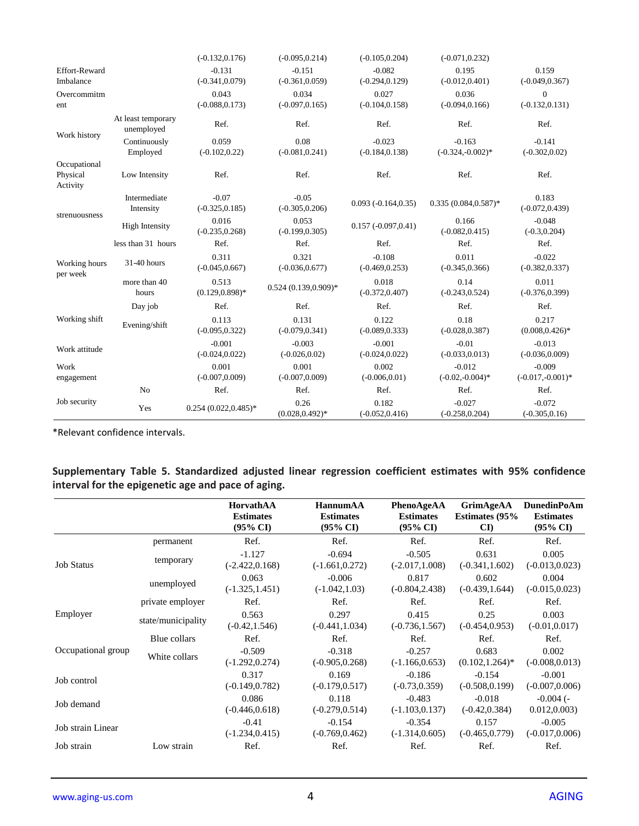|                                      |                                  | $(-0.132, 0.176)$             | $(-0.095, 0.214)$             | $(-0.105, 0.204)$             | $(-0.071, 0.232)$              |                                       |
|--------------------------------------|----------------------------------|-------------------------------|-------------------------------|-------------------------------|--------------------------------|---------------------------------------|
| <b>Effort-Reward</b><br>Imbalance    |                                  | $-0.131$<br>$(-0.341, 0.079)$ | $-0.151$<br>$(-0.361, 0.059)$ | $-0.082$<br>$(-0.294, 0.129)$ | 0.195<br>$(-0.012, 0.401)$     | 0.159<br>$(-0.049, 0.367)$            |
| Overcommitm<br>ent                   |                                  | 0.043<br>$(-0.088, 0.173)$    | 0.034<br>$(-0.097, 0.165)$    | 0.027<br>$(-0.104, 0.158)$    | 0.036<br>$(-0.094, 0.166)$     | $\boldsymbol{0}$<br>$(-0.132, 0.131)$ |
| Work history                         | At least temporary<br>unemployed | Ref.                          | Ref.                          | Ref.                          | Ref.                           | Ref.                                  |
|                                      | Continuously<br>Employed         | 0.059<br>$(-0.102, 0.22)$     | 0.08<br>$(-0.081, 0.241)$     | $-0.023$<br>$(-0.184, 0.138)$ | $-0.163$<br>$(-0.324,-0.002)*$ | $-0.141$<br>$(-0.302, 0.02)$          |
| Occupational<br>Physical<br>Activity | Low Intensity                    | Ref.                          | Ref.                          | Ref.                          | Ref.                           | Ref.                                  |
|                                      | Intermediate<br>Intensity        | $-0.07$<br>$(-0.325, 0.185)$  | $-0.05$<br>$(-0.305, 0.206)$  | $0.093(-0.164, 0.35)$         | $0.335(0.084, 0.587)^*$        | 0.183<br>$(-0.072, 0.439)$            |
| strenuousness                        | <b>High Intensity</b>            | 0.016<br>$(-0.235, 0.268)$    | 0.053<br>$(-0.199, 0.305)$    | $0.157(-0.097, 0.41)$         | 0.166<br>$(-0.082, 0.415)$     | $-0.048$<br>$(-0.3, 0.204)$           |
|                                      | less than 31 hours               | Ref.                          | Ref.                          | Ref.                          | Ref.                           | Ref.                                  |
| Working hours<br>per week            | 31-40 hours                      | 0.311<br>$(-0.045, 0.667)$    | 0.321<br>$(-0.036, 0.677)$    | $-0.108$<br>$(-0.469, 0.253)$ | 0.011<br>$(-0.345, 0.366)$     | $-0.022$<br>$(-0.382, 0.337)$         |
|                                      | more than 40<br>hours            | 0.513<br>$(0.129, 0.898)$ *   | $0.524(0.139, 0.909)*$        | 0.018<br>$(-0.372, 0.407)$    | 0.14<br>$(-0.243, 0.524)$      | 0.011<br>$(-0.376, 0.399)$            |
|                                      | Day job                          | Ref.                          | Ref.                          | Ref.                          | Ref.                           | Ref.                                  |
| Working shift                        | Evening/shift                    | 0.113<br>$(-0.095, 0.322)$    | 0.131<br>$(-0.079, 0.341)$    | 0.122<br>$(-0.089, 0.333)$    | 0.18<br>$(-0.028, 0.387)$      | 0.217<br>$(0.008, 0.426)^*$           |
| Work attitude                        |                                  | $-0.001$<br>$(-0.024, 0.022)$ | $-0.003$<br>$(-0.026, 0.02)$  | $-0.001$<br>$(-0.024, 0.022)$ | $-0.01$<br>$(-0.033, 0.013)$   | $-0.013$<br>$(-0.036, 0.009)$         |
| Work<br>engagement                   |                                  | 0.001<br>$(-0.007, 0.009)$    | 0.001<br>$(-0.007, 0.009)$    | 0.002<br>$(-0.006, 0.01)$     | $-0.012$<br>$(-0.02,-0.004)*$  | $-0.009$<br>$(-0.017,-0.001)*$        |
|                                      | No                               | Ref.                          | Ref.                          | Ref.                          | Ref.                           | Ref.                                  |
| Job security                         | Yes                              | $0.254(0.022, 0.485)^*$       | 0.26<br>$(0.028, 0.492)^*$    | 0.182<br>$(-0.052, 0.416)$    | $-0.027$<br>$(-0.258, 0.204)$  | $-0.072$<br>$(-0.305, 0.16)$          |

\*Relevant confidence intervals.

### **Supplementary Table 5. Standardized adjusted linear regression coefficient estimates with 95% confidence interval for the epigenetic age and pace of aging.**

|                    |                    | HorvathAA<br><b>Estimates</b><br>$(95\% \text{ CI})$ | <b>HannumAA</b><br><b>Estimates</b><br>$(95\% \text{ CI})$ | PhenoAgeAA<br><b>Estimates</b><br>$(95\% \text{ CI})$ | <b>GrimAgeAA</b><br><b>Estimates (95%)</b><br>$\mathbf{C}\mathbf{D}$ | <b>DunedinPoAm</b><br><b>Estimates</b><br>$(95\% \text{ CI})$ |
|--------------------|--------------------|------------------------------------------------------|------------------------------------------------------------|-------------------------------------------------------|----------------------------------------------------------------------|---------------------------------------------------------------|
|                    | permanent          | Ref.                                                 | Ref.                                                       | Ref.                                                  | Ref.                                                                 | Ref.                                                          |
| <b>Job Status</b>  | temporary          | $-1.127$<br>$(-2.422, 0.168)$                        | $-0.694$<br>$(-1.661, 0.272)$                              | $-0.505$<br>$(-2.017, 1.008)$                         | 0.631<br>$(-0.341, 1.602)$                                           | 0.005<br>$(-0.013, 0.023)$                                    |
|                    | unemployed         | 0.063<br>$(-1.325, 1.451)$                           | $-0.006$<br>$(-1.042, 1.03)$                               | 0.817<br>$(-0.804, 2.438)$                            | 0.602<br>$(-0.439, 1.644)$                                           | 0.004<br>$(-0.015, 0.023)$                                    |
|                    | private employer   | Ref.                                                 | Ref.                                                       | Ref.                                                  | Ref.                                                                 | Ref.                                                          |
| Employer           | state/municipality | 0.563<br>$(-0.42, 1.546)$                            | 0.297<br>$(-0.441, 1.034)$                                 | 0.415<br>$(-0.736, 1.567)$                            | 0.25<br>$(-0.454, 0.953)$                                            | 0.003<br>$(-0.01, 0.017)$                                     |
|                    | Blue collars       | Ref.                                                 | Ref.                                                       | Ref.                                                  | Ref.                                                                 | Ref.                                                          |
| Occupational group | White collars      | $-0.509$<br>$(-1.292, 0.274)$                        | $-0.318$<br>$(-0.905, 0.268)$                              | $-0.257$<br>$(-1.166, 0.653)$                         | 0.683<br>$(0.102, 1.264)^*$                                          | 0.002<br>$(-0.008, 0.013)$                                    |
| Job control        |                    | 0.317<br>$(-0.149, 0.782)$                           | 0.169<br>$(-0.179, 0.517)$                                 | $-0.186$<br>$(-0.73, 0.359)$                          | $-0.154$<br>$(-0.508, 0.199)$                                        | $-0.001$<br>$(-0.007, 0.006)$                                 |
| Job demand         |                    | 0.086<br>$(-0.446, 0.618)$                           | 0.118<br>$(-0.279, 0.514)$                                 | $-0.483$<br>$(-1.103, 0.137)$                         | $-0.018$<br>$(-0.42, 0.384)$                                         | $-0.004$ (-<br>0.012, 0.003                                   |
| Job strain Linear  |                    | $-0.41$<br>$(-1.234, 0.415)$                         | $-0.154$<br>$(-0.769, 0.462)$                              | $-0.354$<br>$(-1.314, 0.605)$                         | 0.157<br>$(-0.465, 0.779)$                                           | $-0.005$<br>$(-0.017, 0.006)$                                 |
| Job strain         | Low strain         | Ref.                                                 | Ref.                                                       | Ref.                                                  | Ref.                                                                 | Ref.                                                          |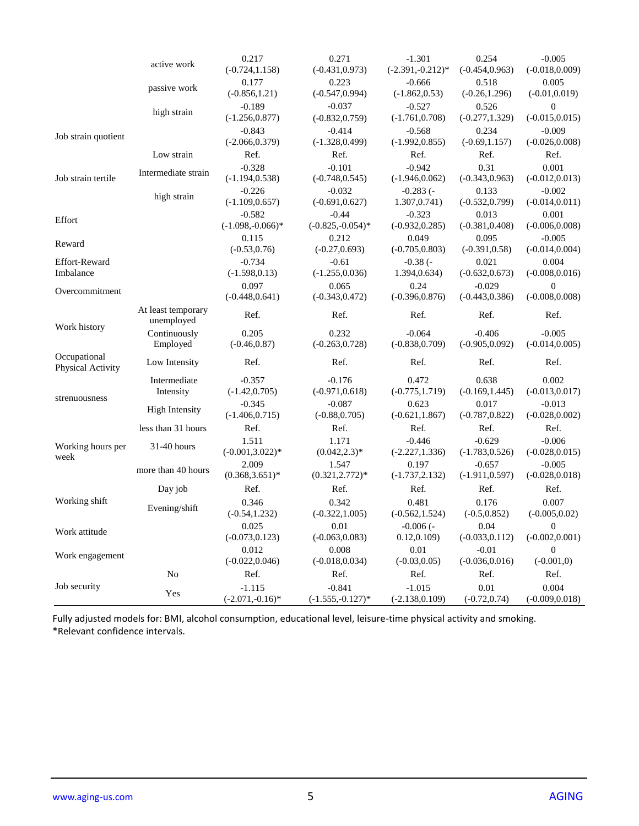|                                   | active work                      | 0.217               | 0.271               | $-1.301$           | 0.254             | $-0.005$          |
|-----------------------------------|----------------------------------|---------------------|---------------------|--------------------|-------------------|-------------------|
|                                   |                                  | $(-0.724, 1.158)$   | $(-0.431, 0.973)$   | $(-2.391,-0.212)*$ | $(-0.454, 0.963)$ | $(-0.018, 0.009)$ |
|                                   | passive work                     | 0.177               | 0.223               | $-0.666$           | 0.518             | 0.005             |
|                                   |                                  | $(-0.856, 1.21)$    | $(-0.547, 0.994)$   | $(-1.862, 0.53)$   | $(-0.26, 1.296)$  | $(-0.01, 0.019)$  |
|                                   | high strain                      | $-0.189$            | $-0.037$            | $-0.527$           | 0.526             | $\boldsymbol{0}$  |
|                                   |                                  | $(-1.256, 0.877)$   | $(-0.832, 0.759)$   | $(-1.761, 0.708)$  | $(-0.277, 1.329)$ | $(-0.015, 0.015)$ |
| Job strain quotient               |                                  | $-0.843$            | $-0.414$            | $-0.568$           | 0.234             | $-0.009$          |
|                                   |                                  | $(-2.066, 0.379)$   | $(-1.328, 0.499)$   | $(-1.992, 0.855)$  | $(-0.69, 1.157)$  | $(-0.026, 0.008)$ |
|                                   | Low strain                       | Ref.                | Ref.                | Ref.               | Ref.              | Ref.              |
|                                   | Intermediate strain              | $-0.328$            | $-0.101$            | $-0.942$           | 0.31              | 0.001             |
| Job strain tertile                |                                  | $(-1.194, 0.538)$   | $(-0.748, 0.545)$   | $(-1.946, 0.062)$  | $(-0.343, 0.963)$ | $(-0.012, 0.013)$ |
|                                   | high strain                      | $-0.226$            | $-0.032$            | $-0.283$ ( $-$     | 0.133             | $-0.002$          |
|                                   |                                  | $(-1.109, 0.657)$   | $(-0.691, 0.627)$   | 1.307, 0.741       | $(-0.532, 0.799)$ | $(-0.014, 0.011)$ |
| Effort                            |                                  | $-0.582$            | $-0.44$             | $-0.323$           | 0.013             | 0.001             |
|                                   |                                  | $(-1.098,-0.066)*$  | $(-0.825,-0.054)$ * | $(-0.932, 0.285)$  | $(-0.381, 0.408)$ | $(-0.006, 0.008)$ |
| Reward                            |                                  | 0.115               | 0.212               | 0.049              | 0.095             | $-0.005$          |
|                                   |                                  | $(-0.53, 0.76)$     | $(-0.27, 0.693)$    | $(-0.705, 0.803)$  | $(-0.391, 0.58)$  | $(-0.014, 0.004)$ |
| <b>Effort-Reward</b>              |                                  | $-0.734$            | $-0.61$             | $-0.38$ ( $-$      | 0.021             | 0.004             |
| Imbalance                         |                                  | $(-1.598, 0.13)$    | $(-1.255, 0.036)$   | 1.394,0.634)       | $(-0.632, 0.673)$ | $(-0.008, 0.016)$ |
| Overcommitment                    |                                  | 0.097               | 0.065               | 0.24               | $-0.029$          | $\overline{0}$    |
|                                   |                                  | $(-0.448, 0.641)$   | $(-0.343, 0.472)$   | $(-0.396, 0.876)$  | $(-0.443, 0.386)$ | $(-0.008, 0.008)$ |
| Work history                      | At least temporary<br>unemployed | Ref.                | Ref.                | Ref.               | Ref.              | Ref.              |
|                                   | Continuously                     | 0.205               | 0.232               | $-0.064$           | $-0.406$          | $-0.005$          |
|                                   | Employed                         | $(-0.46, 0.87)$     | $(-0.263, 0.728)$   | $(-0.838, 0.709)$  | $(-0.905, 0.092)$ | $(-0.014, 0.005)$ |
| Occupational<br>Physical Activity | Low Intensity                    | Ref.                | Ref.                | Ref.               | Ref.              | Ref.              |
|                                   | Intermediate                     | $-0.357$            | $-0.176$            | 0.472              | 0.638             | 0.002             |
| strenuousness                     | Intensity                        | $(-1.42, 0.705)$    | $(-0.971, 0.618)$   | $(-0.775, 1.719)$  | $(-0.169, 1.445)$ | $(-0.013, 0.017)$ |
|                                   | <b>High Intensity</b>            | $-0.345$            | $-0.087$            | 0.623              | 0.017             | $-0.013$          |
|                                   |                                  | $(-1.406, 0.715)$   | $(-0.88, 0.705)$    | $(-0.621, 1.867)$  | $(-0.787, 0.822)$ | $(-0.028, 0.002)$ |
|                                   | less than 31 hours               | Ref.                | Ref.                | Ref.               | Ref.              | Ref.              |
| Working hours per                 | 31-40 hours                      | 1.511               | 1.171               | $-0.446$           | $-0.629$          | $-0.006$          |
| week                              |                                  | $(-0.001, 3.022)^*$ | $(0.042, 2.3)^*$    | $(-2.227, 1.336)$  | $(-1.783, 0.526)$ | $(-0.028, 0.015)$ |
|                                   | more than 40 hours               | 2.009               | 1.547               | 0.197              | $-0.657$          | $-0.005$          |
|                                   |                                  | $(0.368, 3.651)^*$  | $(0.321, 2.772)^*$  | $(-1.737, 2.132)$  | $(-1.911, 0.597)$ | $(-0.028, 0.018)$ |
|                                   | Day job                          | Ref.                | Ref.                | Ref.               | Ref.              | Ref.              |
| Working shift                     |                                  | 0.346               | 0.342               | 0.481              | 0.176             | 0.007             |
|                                   | Evening/shift                    | $(-0.54, 1.232)$    | $(-0.322, 1.005)$   | $(-0.562, 1.524)$  | $(-0.5, 0.852)$   | $(-0.005, 0.02)$  |
|                                   |                                  | 0.025               | 0.01                | $-0.006$ ( $-$     | 0.04              | $\mathbf{0}$      |
| Work attitude                     |                                  | $(-0.073, 0.123)$   | $(-0.063, 0.083)$   | 0.12, 0.109        | $(-0.033, 0.112)$ | $(-0.002, 0.001)$ |
|                                   |                                  | 0.012               | 0.008               | $0.01\,$           | $-0.01$           | $\boldsymbol{0}$  |
| Work engagement                   |                                  | $(-0.022, 0.046)$   | $(-0.018, 0.034)$   | $(-0.03, 0.05)$    | $(-0.036, 0.016)$ | $(-0.001,0)$      |
|                                   | No                               | Ref.                | Ref.                | Ref.               | Ref.              | Ref.              |
| Job security                      |                                  | $-1.115$            | $-0.841$            | $-1.015$           | 0.01              | 0.004             |
|                                   | Yes                              | $(-2.071,-0.16)*$   | $(-1.555,-0.127)$ * | $(-2.138, 0.109)$  | $(-0.72, 0.74)$   | $(-0.009, 0.018)$ |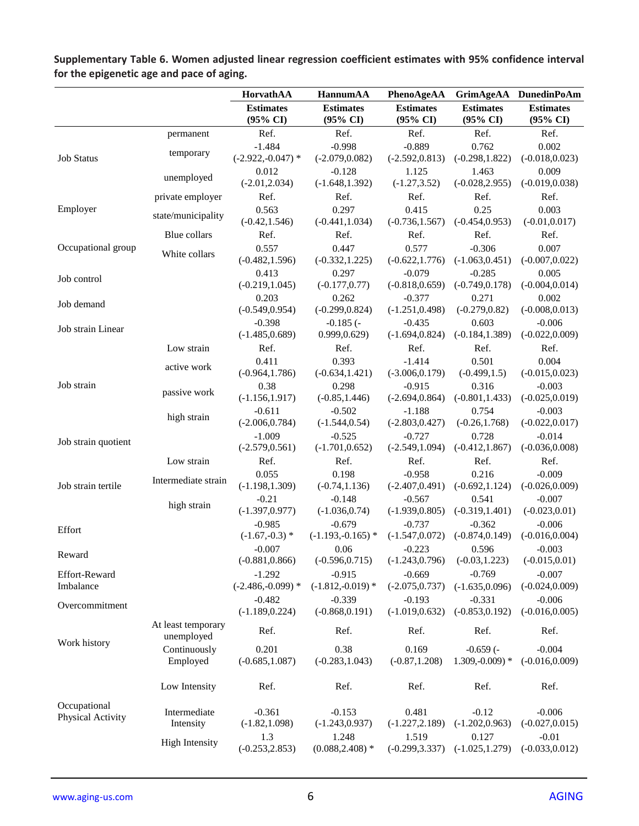|                                   |                                  | HorvathAA                       | <b>HannumAA</b>                         | PhenoAgeAA                    | <b>GrimAgeAA</b>              | <b>DunedinPoAm</b>                      |
|-----------------------------------|----------------------------------|---------------------------------|-----------------------------------------|-------------------------------|-------------------------------|-----------------------------------------|
|                                   |                                  | <b>Estimates</b><br>(95% CI)    | <b>Estimates</b><br>$(95\% \text{ CI})$ | <b>Estimates</b><br>(95% CI)  | <b>Estimates</b><br>(95% CI)  | <b>Estimates</b><br>$(95\% \text{ CI})$ |
|                                   | permanent                        | Ref.                            | Ref.                                    | Ref.                          | Ref.                          | Ref.                                    |
| <b>Job Status</b>                 | temporary                        | $-1.484$<br>$(-2.922,-0.047)$ * | $-0.998$<br>$(-2.079, 0.082)$           | $-0.889$<br>$(-2.592, 0.813)$ | 0.762<br>$(-0.298, 1.822)$    | 0.002<br>$(-0.018, 0.023)$              |
|                                   | unemployed                       | 0.012<br>$(-2.01, 2.034)$       | $-0.128$<br>$(-1.648, 1.392)$           | 1.125<br>$(-1.27, 3.52)$      | 1.463<br>$(-0.028, 2.955)$    | 0.009<br>$(-0.019, 0.038)$              |
|                                   | private employer                 | Ref.                            | Ref.                                    | Ref.                          | Ref.                          | Ref.                                    |
| Employer                          | state/municipality               | 0.563<br>$(-0.42, 1.546)$       | 0.297<br>$(-0.441, 1.034)$              | 0.415<br>$(-0.736, 1.567)$    | 0.25<br>$(-0.454, 0.953)$     | 0.003<br>$(-0.01, 0.017)$               |
|                                   | Blue collars                     | Ref.                            | Ref.                                    | Ref.                          | Ref.                          | Ref.                                    |
| Occupational group                | White collars                    | 0.557<br>$(-0.482, 1.596)$      | 0.447<br>$(-0.332, 1.225)$              | 0.577<br>$(-0.622, 1.776)$    | $-0.306$<br>$(-1.063, 0.451)$ | 0.007<br>$(-0.007, 0.022)$              |
| Job control                       |                                  | 0.413<br>$(-0.219, 1.045)$      | 0.297<br>$(-0.177, 0.77)$               | $-0.079$<br>$(-0.818, 0.659)$ | $-0.285$<br>$(-0.749, 0.178)$ | 0.005<br>$(-0.004, 0.014)$              |
|                                   |                                  | 0.203                           | 0.262                                   | $-0.377$                      | 0.271                         | 0.002                                   |
| Job demand                        |                                  | $(-0.549, 0.954)$               | $(-0.299, 0.824)$                       | $(-1.251, 0.498)$             | $(-0.279, 0.82)$              | $(-0.008, 0.013)$                       |
| Job strain Linear                 |                                  | $-0.398$<br>$(-1.485, 0.689)$   | $-0.185$ ( $-$<br>0.999, 0.629)         | $-0.435$<br>$(-1.694, 0.824)$ | 0.603<br>$(-0.184, 1.389)$    | $-0.006$<br>$(-0.022, 0.009)$           |
|                                   | Low strain                       | Ref.                            | Ref.                                    | Ref.                          | Ref.                          | Ref.                                    |
|                                   |                                  | 0.411                           | 0.393                                   | $-1.414$                      | 0.501                         | 0.004                                   |
|                                   | active work                      | $(-0.964, 1.786)$               | $(-0.634, 1.421)$                       | $(-3.006, 0.179)$             | $(-0.499, 1.5)$               | $(-0.015, 0.023)$                       |
| Job strain                        | passive work                     | 0.38                            | 0.298                                   | $-0.915$                      | 0.316                         | $-0.003$                                |
|                                   |                                  | $(-1.156, 1.917)$               | $(-0.85, 1.446)$                        | $(-2.694, 0.864)$             | $(-0.801, 1.433)$             | $(-0.025, 0.019)$                       |
|                                   | high strain                      | $-0.611$                        | $-0.502$                                | $-1.188$                      | 0.754                         | $-0.003$                                |
|                                   |                                  | $(-2.006, 0.784)$               | $(-1.544, 0.54)$                        | $(-2.803, 0.427)$             | $(-0.26, 1.768)$              | $(-0.022, 0.017)$                       |
| Job strain quotient               |                                  | $-1.009$                        | $-0.525$                                | $-0.727$                      | 0.728                         | $-0.014$                                |
|                                   |                                  | $(-2.579, 0.561)$               | $(-1.701, 0.652)$                       | $(-2.549, 1.094)$             | $(-0.412, 1.867)$             | $(-0.036, 0.008)$                       |
|                                   | Low strain                       | Ref.                            | Ref.                                    | Ref.                          | Ref.                          | Ref.                                    |
| Job strain tertile                | Intermediate strain              | 0.055<br>$(-1.198, 1.309)$      | 0.198<br>$(-0.74, 1.136)$               | $-0.958$<br>$(-2.407, 0.491)$ | 0.216<br>$(-0.692, 1.124)$    | $-0.009$<br>$(-0.026, 0.009)$           |
|                                   | high strain                      | $-0.21$                         | $-0.148$                                | $-0.567$                      | 0.541                         | $-0.007$                                |
|                                   |                                  | $(-1.397, 0.977)$               | $(-1.036, 0.74)$                        | $(-1.939, 0.805)$             | $(-0.319, 1.401)$             | $(-0.023, 0.01)$                        |
| Effort                            |                                  | $-0.985$<br>$(-1.67,-0.3)$ *    | $-0.679$<br>$(-1.193,-0.165)$ *         | $-0.737$<br>$(-1.547, 0.072)$ | $-0.362$<br>$(-0.874, 0.149)$ | $-0.006$<br>$(-0.016, 0.004)$           |
|                                   |                                  | $-0.007$                        | 0.06                                    | $-0.223$                      | 0.596                         | $-0.003$                                |
| Reward                            |                                  | $(-0.881, 0.866)$               | $(-0.596, 0.715)$                       | $(-1.243, 0.796)$             | $(-0.03, 1.223)$              | $(-0.015, 0.01)$                        |
| Effort-Reward                     |                                  | $-1.292$                        | $-0.915$                                | $-0.669$                      | $-0.769$                      | $-0.007$                                |
| Imbalance                         |                                  | $(-2.486,-0.099)$ *             | $(-1.812,-0.019)$ *                     | $(-2.075, 0.737)$             | $(-1.635, 0.096)$             | $(-0.024, 0.009)$                       |
|                                   |                                  | $-0.482$                        | $-0.339$                                | $-0.193$                      | $-0.331$                      | $-0.006$                                |
| Overcommitment                    |                                  | $(-1.189, 0.224)$               | $(-0.868, 0.191)$                       | $(-1.019, 0.632)$             | $(-0.853, 0.192)$             | $(-0.016, 0.005)$                       |
|                                   | At least temporary<br>unemployed | Ref.                            | Ref.                                    | Ref.                          | Ref.                          | Ref.                                    |
| Work history                      | Continuously                     | 0.201                           | 0.38                                    | 0.169                         | $-0.659$ ( $-$                | $-0.004$                                |
|                                   | Employed                         | $(-0.685, 1.087)$               | $(-0.283, 1.043)$                       | $(-0.87, 1.208)$              | $1.309,-0.009$ *              | $(-0.016, 0.009)$                       |
|                                   | Low Intensity                    | Ref.                            | Ref.                                    | Ref.                          | Ref.                          | Ref.                                    |
| Occupational<br>Physical Activity | Intermediate<br>Intensity        | $-0.361$<br>$(-1.82, 1.098)$    | $-0.153$<br>$(-1.243, 0.937)$           | 0.481<br>$(-1.227, 2.189)$    | $-0.12$<br>$(-1.202, 0.963)$  | $-0.006$<br>$(-0.027, 0.015)$           |
|                                   | <b>High Intensity</b>            | 1.3<br>$(-0.253, 2.853)$        | 1.248<br>$(0.088, 2.408)$ *             | 1.519<br>$(-0.299, 3.337)$    | 0.127<br>$(-1.025, 1.279)$    | $-0.01$<br>$(-0.033, 0.012)$            |

**Supplementary Table 6. Women adjusted linear regression coefficient estimates with 95% confidence interval for the epigenetic age and pace of aging.**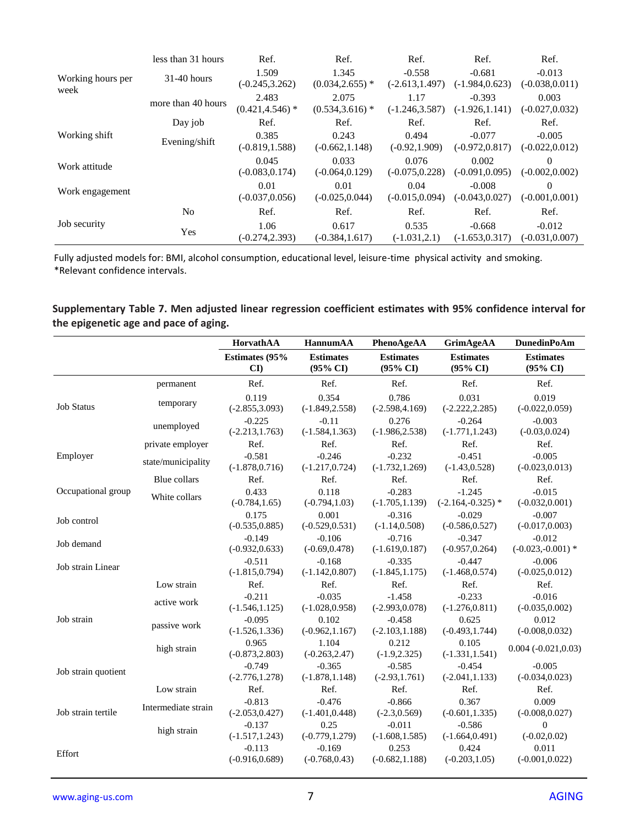|                           | less than 31 hours | Ref.                        | Ref.                        | Ref.                          | Ref.                          | Ref.                          |
|---------------------------|--------------------|-----------------------------|-----------------------------|-------------------------------|-------------------------------|-------------------------------|
| Working hours per<br>week | $31-40$ hours      | 1.509<br>$(-0.245, 3.262)$  | 1.345<br>$(0.034, 2.655)$ * | $-0.558$<br>$(-2.613, 1.497)$ | $-0.681$<br>$(-1.984, 0.623)$ | $-0.013$<br>$(-0.038, 0.011)$ |
|                           | more than 40 hours | 2.483<br>$(0.421, 4.546)$ * | 2.075<br>$(0.534, 3.616)$ * | 1.17<br>$(-1.246, 3.587)$     | $-0.393$<br>$(-1.926, 1.141)$ | 0.003<br>$(-0.027, 0.032)$    |
|                           | Day job            | Ref.                        | Ref.                        | Ref.                          | Ref.                          | Ref.                          |
| Working shift             | Evening/shift      | 0.385<br>$(-0.819, 1.588)$  | 0.243<br>$(-0.662, 1.148)$  | 0.494<br>$(-0.92, 1.909)$     | $-0.077$<br>$(-0.972, 0.817)$ | $-0.005$<br>$(-0.022, 0.012)$ |
| Work attitude             |                    | 0.045<br>$(-0.083, 0.174)$  | 0.033<br>$(-0.064, 0.129)$  | 0.076<br>$(-0.075, 0.228)$    | 0.002<br>$(-0.091, 0.095)$    | $\Omega$<br>$(-0.002, 0.002)$ |
| Work engagement           |                    | 0.01<br>$(-0.037, 0.056)$   | 0.01<br>$(-0.025, 0.044)$   | 0.04<br>$(-0.015, 0.094)$     | $-0.008$<br>$(-0.043, 0.027)$ | 0<br>$(-0.001, 0.001)$        |
|                           | N <sub>o</sub>     | Ref.                        | Ref.                        | Ref.                          | Ref.                          | Ref.                          |
| Job security              | Yes                | 1.06<br>$(-0.274, 2.393)$   | 0.617<br>$(-0.384, 1.617)$  | 0.535<br>$(-1.031, 2.1)$      | $-0.668$<br>$(-1.653, 0.317)$ | $-0.012$<br>$(-0.031.0.007)$  |

#### **Supplementary Table 7. Men adjusted linear regression coefficient estimates with 95% confidence interval for the epigenetic age and pace of aging.**

|                     |                     | HorvathAA                     | HannumAA                                | PhenoAgeAA                              | <b>GrimAgeAA</b>                        | <b>DunedinPoAm</b>                      |
|---------------------|---------------------|-------------------------------|-----------------------------------------|-----------------------------------------|-----------------------------------------|-----------------------------------------|
|                     |                     | <b>Estimates (95%)</b><br>CI  | <b>Estimates</b><br>$(95\% \text{ CI})$ | <b>Estimates</b><br>$(95\% \text{ CI})$ | <b>Estimates</b><br>$(95\% \text{ CI})$ | <b>Estimates</b><br>$(95\% \text{ CI})$ |
|                     | permanent           | Ref.                          | Ref.                                    | Ref.                                    | Ref.                                    | Ref.                                    |
| <b>Job Status</b>   | temporary           | 0.119<br>$(-2.855, 3.093)$    | 0.354<br>$(-1.849, 2.558)$              | 0.786<br>$(-2.598, 4.169)$              | 0.031<br>$(-2.222, 2.285)$              | 0.019<br>$(-0.022, 0.059)$              |
|                     | unemployed          | $-0.225$<br>$(-2.213, 1.763)$ | $-0.11$<br>$(-1.584, 1.363)$            | 0.276<br>$(-1.986, 2.538)$              | $-0.264$<br>$(-1.771, 1.243)$           | $-0.003$<br>$(-0.03, 0.024)$            |
|                     | private employer    | Ref.                          | Ref.                                    | Ref.                                    | Ref.                                    | Ref.                                    |
| Employer            | state/municipality  | $-0.581$<br>$(-1.878, 0.716)$ | $-0.246$<br>$(-1.217, 0.724)$           | $-0.232$<br>$(-1.732, 1.269)$           | $-0.451$<br>$(-1.43, 0.528)$            | $-0.005$<br>$(-0.023, 0.013)$           |
|                     | Blue collars        | Ref.                          | Ref.                                    | Ref.                                    | Ref.                                    | Ref.                                    |
| Occupational group  | White collars       | 0.433<br>$(-0.784, 1.65)$     | 0.118<br>$(-0.794, 1.03)$               | $-0.283$<br>$(-1.705, 1.139)$           | $-1.245$<br>$(-2.164,-0.325)$ *         | $-0.015$<br>$(-0.032, 0.001)$           |
| Job control         |                     | 0.175<br>$(-0.535, 0.885)$    | 0.001<br>$(-0.529, 0.531)$              | $-0.316$<br>$(-1.14, 0.508)$            | $-0.029$<br>$(-0.586, 0.527)$           | $-0.007$<br>$(-0.017, 0.003)$           |
| Job demand          |                     | $-0.149$<br>$(-0.932, 0.633)$ | $-0.106$<br>$(-0.69, 0.478)$            | $-0.716$<br>$(-1.619, 0.187)$           | $-0.347$<br>$(-0.957, 0.264)$           | $-0.012$<br>$(-0.023,-0.001)$ *         |
| Job strain Linear   |                     | $-0.511$<br>$(-1.815, 0.794)$ | $-0.168$<br>$(-1.142, 0.807)$           | $-0.335$<br>$(-1.845, 1.175)$           | $-0.447$<br>$(-1.468, 0.574)$           | $-0.006$<br>$(-0.025, 0.012)$           |
|                     | Low strain          | Ref.                          | Ref.                                    | Ref.                                    | Ref.                                    | Ref.                                    |
|                     | active work         | $-0.211$<br>$(-1.546, 1.125)$ | $-0.035$<br>$(-1.028, 0.958)$           | $-1.458$<br>$(-2.993, 0.078)$           | $-0.233$<br>$(-1.276, 0.811)$           | $-0.016$<br>$(-0.035, 0.002)$           |
| Job strain          | passive work        | $-0.095$<br>$(-1.526, 1.336)$ | 0.102<br>$(-0.962, 1.167)$              | $-0.458$<br>$(-2.103, 1.188)$           | 0.625<br>$(-0.493, 1.744)$              | 0.012<br>$(-0.008, 0.032)$              |
|                     | high strain         | 0.965<br>$(-0.873, 2.803)$    | 1.104<br>$(-0.263, 2.47)$               | 0.212<br>$(-1.9, 2.325)$                | 0.105<br>$(-1.331, 1.541)$              | $0.004 (-0.021, 0.03)$                  |
| Job strain quotient |                     | $-0.749$<br>$(-2.776, 1.278)$ | $-0.365$<br>$(-1.878, 1.148)$           | $-0.585$<br>$(-2.93, 1.761)$            | $-0.454$<br>$(-2.041, 1.133)$           | $-0.005$<br>$(-0.034, 0.023)$           |
|                     | Low strain          | Ref.                          | Ref.                                    | Ref.                                    | Ref.                                    | Ref.                                    |
| Job strain tertile  | Intermediate strain | $-0.813$<br>$(-2.053, 0.427)$ | $-0.476$<br>$(-1.401, 0.448)$           | $-0.866$<br>$(-2.3, 0.569)$             | 0.367<br>$(-0.601, 1.335)$              | 0.009<br>$(-0.008, 0.027)$              |
|                     | high strain         | $-0.137$<br>$(-1.517, 1.243)$ | 0.25<br>$(-0.779, 1.279)$               | $-0.011$<br>$(-1.608, 1.585)$           | $-0.586$<br>$(-1.664, 0.491)$           | $\overline{0}$<br>$(-0.02, 0.02)$       |
| Effort              |                     | $-0.113$<br>$(-0.916, 0.689)$ | $-0.169$<br>$(-0.768, 0.43)$            | 0.253<br>$(-0.682, 1.188)$              | 0.424<br>$(-0.203, 1.05)$               | 0.011<br>$(-0.001, 0.022)$              |